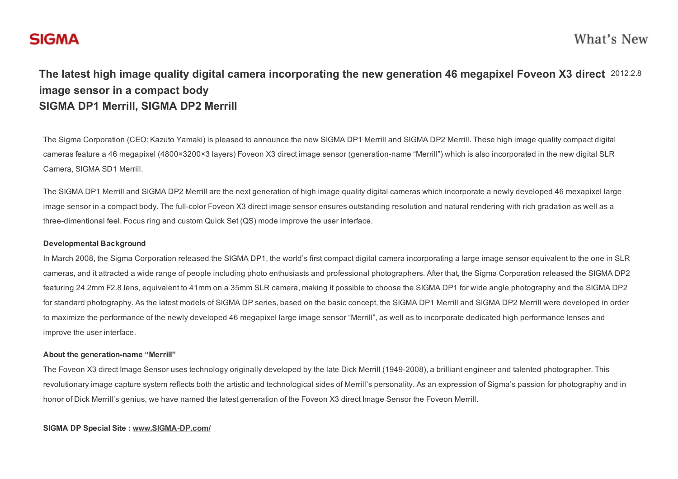# **SIGMA**

## The latest high image quality digital camera incorporating the new generation 46 megapixel Foveon X3 direct 2012.2.8 image sensor in a compact body SIGMA DP1 Merrill, SIGMA DP2 Merrill

The Sigma Corporation (CEO: Kazuto Yamaki) is pleased to announce the new SIGMA DP1 Merrill and SIGMA DP2 Merrill. These high image quality compact digital cameras feature a 46 megapixel (4800×3200×3 layers) Foveon X3 direct image sensor (generation-name "Merrill") which is also incorporated in the new digital SLR Camera, SIGMA SD1 Merrill.

The SIGMA DP1 Merrill and SIGMA DP2 Merrill are the next generation of high image quality digital cameras which incorporate a newly developed 46 mexapixel large image sensor in a compact body. The full-color Foveon X3 direct image sensor ensures outstanding resolution and natural rendering with rich gradation as well as a three-dimentional feel. Focus ring and custom Quick Set (QS) mode improve the user interface.

## Developmental Background

In March 2008, the Sigma Corporation released the SIGMA DP1, the world's first compact digital camera incorporating a large image sensor equivalent to the one in SLR cameras, and it attracted a wide range of people including photo enthusiasts and professional photographers. After that, the Sigma Corporation released the SIGMA DP2 featuring 24.2mm F2.8 lens, equivalent to 41mm on a 35mm SLR camera, making it possible to choose the SIGMA DP1 for wide angle photography and the SIGMA DP2 for standard photography. As the latest models of SIGMA DP series, based on the basic concept, the SIGMA DP1 Merrill and SIGMA DP2 Merrill were developed in order to maximize the performance of the newly developed 46 megapixel large image sensor "Merrill", as well as to incorporate dedicated high performance lenses and improve the user interface.

## About the generation-name "Merrill"

The Foveon X3 direct Image Sensor uses technology originally developed by the late Dick Merrill (19492008), a brilliant engineer and talented photographer. This revolutionary image capture system reflects both the artistic and technological sides of Merrill's personality. As an expression of Sigma's passion for photography and in honor of Dick Merrill's genius, we have named the latest generation of the Foveon X3 direct Image Sensor the Foveon Merrill.

## SIGMA DP Special Site : www.SIGMA-DP.com/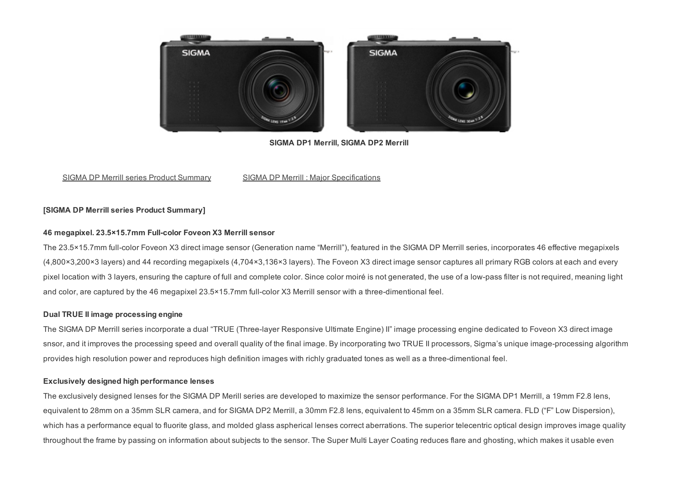

SIGMA DP1 Merrill, SIGMA DP2 Merrill

## SIGMA DP Merrill series Product Summary SIGMA DP Merrill : Major Specifications

## [SIGMA DP Merrill series Product Summary]

## 46 megapixel. 23.5×15.7mm Full-color Foveon X3 Merrill sensor

The 23.5×15.7mm full-color Foveon X3 direct image sensor (Generation name "Merrill"), featured in the SIGMA DP Merrill series, incorporates 46 effective megapixels (4,800×3,200×3 layers) and 44 recording megapixels (4,704×3,136×3 layers). The Foveon X3 direct image sensor captures all primary RGB colors at each and every pixel location with 3 layers, ensuring the capture of full and complete color. Since color moiré is not generated, the use of a lowpass filter is not required, meaning light and color, are captured by the 46 megapixel  $23.5 \times 15.7$  mm full-color X3 Merrill sensor with a three-dimentional feel.

## Dual TRUE II image processing engine

The SIGMA DP Merrill series incorporate a dual "TRUE (Threelayer Responsive Ultimate Engine) II" image processing engine dedicated to Foveon X3 direct image snsor, and it improves the processing speed and overall quality of the final image. By incorporating two TRUE II processors, Sigma's unique image-processing algorithm provides high resolution power and reproduces high definition images with richly graduated tones as well as a three-dimentional feel.

## Exclusively designed high performance lenses

The exclusively designed lenses for the SIGMA DP Merill series are developed to maximize the sensor performance. For the SIGMA DP1 Merrill, a 19mm F2.8 lens, equivalent to 28mm on a 35mm SLR camera, and for SIGMA DP2 Merrill, a 30mm F2.8 lens, equivalent to 45mm on a 35mm SLR camera. FLD ("F" Low Dispersion), which has a performance equal to fluorite glass, and molded glass aspherical lenses correct aberrations. The superior telecentric optical design improves image quality throughout the frame by passing on information about subjects to the sensor. The Super Multi Layer Coating reduces flare and ghosting, which makes it usable even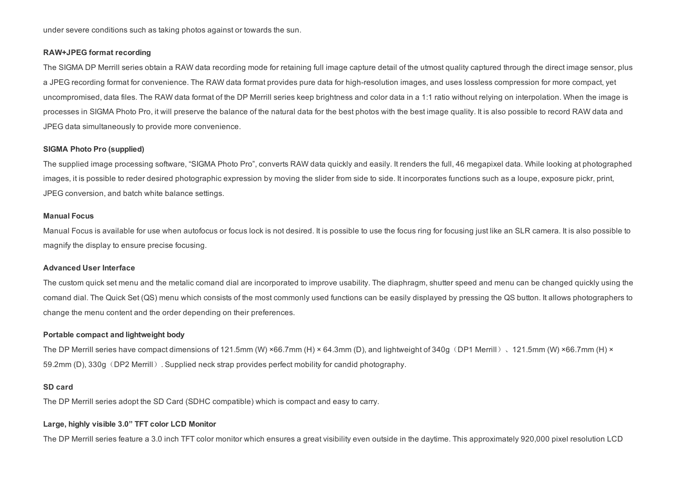under severe conditions such as taking photos against or towards the sun.

#### RAW+JPEG format recording

The SIGMA DP Merrill series obtain a RAW data recording mode for retaining full image capture detail of the utmost quality captured through the direct image sensor, plus a JPEG recording format for convenience. The RAW data format provides pure data for high-resolution images, and uses lossless compression for more compact, yet uncompromised, data files. The RAW data format of the DP Merrill series keep brightness and color data in a 1:1 ratio without relying on interpolation. When the image is processes in SIGMA Photo Pro, it will preserve the balance of the natural data for the best photos with the best image quality. It is also possible to record RAW data and JPEG data simultaneously to provide more convenience.

#### SIGMA Photo Pro (supplied)

The supplied image processing software, "SIGMA Photo Pro", converts RAW data quickly and easily. It renders the full, 46 megapixel data. While looking at photographed images, it is possible to reder desired photographic expression by moving the slider from side to side. It incorporates functions such as a loupe, exposure pickr, print, JPEG conversion, and batch white balance settings.

#### Manual Focus

Manual Focus is available for use when autofocus or focus lock is not desired. It is possible to use the focus ring for focusing just like an SLR camera. It is also possible to magnify the display to ensure precise focusing.

#### Advanced User Interface

The custom quick set menu and the metalic comand dial are incorporated to improve usability. The diaphragm, shutter speed and menu can be changed quickly using the comand dial. The Quick Set (QS) menu which consists of the most commonly used functions can be easily displayed by pressing the QS button. It allows photographers to change the menu content and the order depending on their preferences.

#### Portable compact and lightweight body

The DP Merrill series have compact dimensions of 121.5mm (W) ×66.7mm (H) × 64.3mm (D), and lightweight of 340g (DP1 Merrill), 121.5mm (W) ×66.7mm (H) × 59.2mm (D), 330g (DP2 Merrill). Supplied neck strap provides perfect mobility for candid photography.

#### SD card

The DP Merrill series adopt the SD Card (SDHC compatible) which is compact and easy to carry.

#### Large, highly visible 3.0" TFT color LCD Monitor

The DP Merrill series feature a 3.0 inch TFT color monitor which ensures a great visibility even outside in the daytime. This approximately 920,000 pixel resolution LCD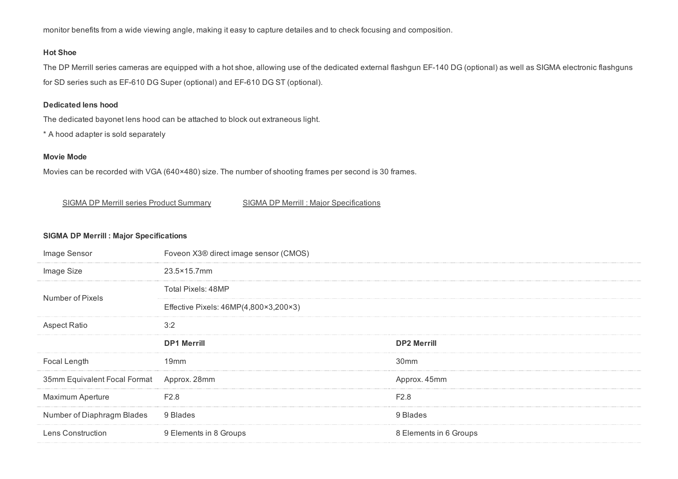monitor benefits from a wide viewing angle, making it easy to capture detailes and to check focusing and composition.

## Hot Shoe

The DP Merrill series cameras are equipped with a hot shoe, allowing use of the dedicated external flashgun EF-140 DG (optional) as well as SIGMA electronic flashguns for SD series such as EF-610 DG Super (optional) and EF-610 DG ST (optional).

## Dedicated lens hood

The dedicated bayonet lens hood can be attached to block out extraneous light.

\* A hood adapter is sold separately

## Movie Mode

Movies can be recorded with VGA (640×480) size. The number of shooting frames per second is 30 frames.

## SIGMA DP Merrill series Product Summary SIGMA DP Merrill : Major Specifications

## SIGMA DP Merrill : Major Specifications

| Image Sensor                              | Foveon X3® direct image sensor (CMOS) |                        |  |
|-------------------------------------------|---------------------------------------|------------------------|--|
| Image Size                                | 23.5×15.7mm                           |                        |  |
| Number of Pixels                          | Total Pixels: 48MP                    |                        |  |
|                                           | Effective Pixels: 46MP(4,800×3,200×3) |                        |  |
| <b>Aspect Ratio</b>                       | 3:2                                   |                        |  |
|                                           | <b>DP1 Merrill</b>                    | <b>DP2 Merrill</b>     |  |
| Focal Length                              | 19 <sub>mm</sub>                      | 30 <sub>mm</sub>       |  |
| 35mm Equivalent Focal Format Approx. 28mm |                                       | Approx. 45mm           |  |
| <b>Maximum Aperture</b>                   | F <sub>2.8</sub>                      | F <sub>2.8</sub>       |  |
| Number of Diaphragm Blades                | 9 Blades                              | 9 Blades               |  |
| Lens Construction                         | 9 Elements in 8 Groups                | 8 Elements in 6 Groups |  |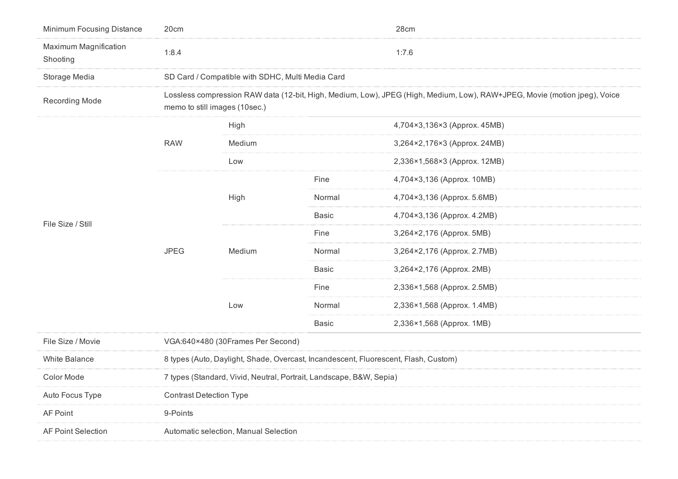| Minimum Focusing Distance         | 20cm                                                                                                                                                       |                                                  |              | 28cm                         |  |
|-----------------------------------|------------------------------------------------------------------------------------------------------------------------------------------------------------|--------------------------------------------------|--------------|------------------------------|--|
| Maximum Magnification<br>Shooting | 1:8.4                                                                                                                                                      |                                                  |              | 1:7.6                        |  |
| Storage Media                     |                                                                                                                                                            | SD Card / Compatible with SDHC, Multi Media Card |              |                              |  |
| <b>Recording Mode</b>             | Lossless compression RAW data (12-bit, High, Medium, Low), JPEG (High, Medium, Low), RAW+JPEG, Movie (motion jpeg), Voice<br>memo to still images (10sec.) |                                                  |              |                              |  |
| File Size / Still                 | <b>RAW</b>                                                                                                                                                 | High                                             |              | 4,704×3,136×3 (Approx. 45MB) |  |
|                                   |                                                                                                                                                            | Medium                                           |              | 3,264×2,176×3 (Approx. 24MB) |  |
|                                   |                                                                                                                                                            | Low                                              |              | 2,336×1,568×3 (Approx. 12MB) |  |
|                                   | <b>JPEG</b>                                                                                                                                                | High                                             | Fine         | 4,704×3,136 (Approx. 10MB)   |  |
|                                   |                                                                                                                                                            |                                                  | Normal       | 4,704×3,136 (Approx. 5.6MB)  |  |
|                                   |                                                                                                                                                            |                                                  | <b>Basic</b> | 4,704×3,136 (Approx. 4.2MB)  |  |
|                                   |                                                                                                                                                            | Medium                                           | Fine         | 3,264×2,176 (Approx. 5MB)    |  |
|                                   |                                                                                                                                                            |                                                  | Normal       | 3,264×2,176 (Approx. 2.7MB)  |  |
|                                   |                                                                                                                                                            |                                                  | <b>Basic</b> | 3,264×2,176 (Approx. 2MB)    |  |
|                                   |                                                                                                                                                            | Low                                              | Fine         | 2,336×1,568 (Approx. 2.5MB)  |  |
|                                   |                                                                                                                                                            |                                                  | Normal       | 2,336×1,568 (Approx. 1.4MB)  |  |
|                                   |                                                                                                                                                            |                                                  | <b>Basic</b> | 2,336×1,568 (Approx. 1MB)    |  |
| File Size / Movie                 | VGA:640×480 (30Frames Per Second)                                                                                                                          |                                                  |              |                              |  |
| <b>White Balance</b>              | 8 types (Auto, Daylight, Shade, Overcast, Incandescent, Fluorescent, Flash, Custom)                                                                        |                                                  |              |                              |  |
| Color Mode                        | 7 types (Standard, Vivid, Neutral, Portrait, Landscape, B&W, Sepia)                                                                                        |                                                  |              |                              |  |
| Auto Focus Type                   | <b>Contrast Detection Type</b>                                                                                                                             |                                                  |              |                              |  |
| AF Point                          | 9-Points                                                                                                                                                   |                                                  |              |                              |  |
| <b>AF Point Selection</b>         | Automatic selection, Manual Selection                                                                                                                      |                                                  |              |                              |  |